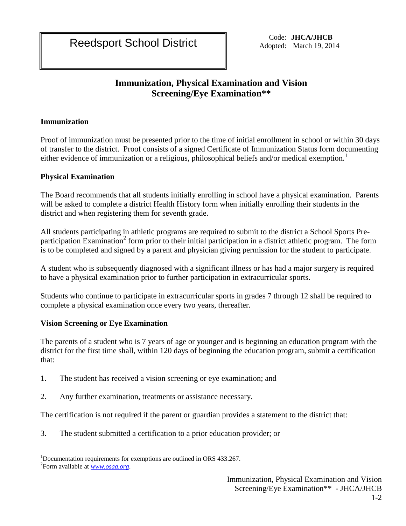Reedsport School District Code: **JHCA/JHCB**<br>Adopted: March 19, 201

Adopted: March 19, 2014

# **Immunization, Physical Examination and Vision Screening/Eye Examination\*\***

## **Immunization**

Proof of immunization must be presented prior to the time of initial enrollment in school or within 30 days of transfer to the district. Proof consists of a signed Certificate of Immunization Status form documenting either evidence of immunization or a religious, philosophical beliefs and/or medical exemption.<sup>1</sup>

## **Physical Examination**

The Board recommends that all students initially enrolling in school have a physical examination. Parents will be asked to complete a district Health History form when initially enrolling their students in the district and when registering them for seventh grade.

All students participating in athletic programs are required to submit to the district a School Sports Preparticipation Examination<sup>2</sup> form prior to their initial participation in a district athletic program. The form is to be completed and signed by a parent and physician giving permission for the student to participate.

A student who is subsequently diagnosed with a significant illness or has had a major surgery is required to have a physical examination prior to further participation in extracurricular sports.

Students who continue to participate in extracurricular sports in grades 7 through 12 shall be required to complete a physical examination once every two years, thereafter.

## **Vision Screening or Eye Examination**

The parents of a student who is 7 years of age or younger and is beginning an education program with the district for the first time shall, within 120 days of beginning the education program, submit a certification that:

- 1. The student has received a vision screening or eye examination; and
- 2. Any further examination, treatments or assistance necessary.

The certification is not required if the parent or guardian provides a statement to the district that:

3. The student submitted a certification to a prior education provider; or

 $\overline{a}$ <sup>1</sup>Documentation requirements for exemptions are outlined in ORS 433.267.

<sup>2</sup> Form available at *[www.osaa.org](http://www.osaa.org/)*.